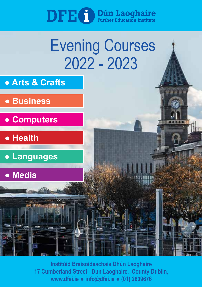# **DFEG Dún Laoghaire**<br>Further Education Institute

# Evening Courses 2022 - 2023

# **● Arts & Crafts**

- **Business**
- **Computers**
- **Health**
- **Languages**

ö

**● Media**

1 **www.dfei.ie ● info@dfei.ie ● (01) 2809676 Institúid Breisoideachais Dhún Laoghaire 17 Cumberland Street, Dún Laoghaire, County Dublin,**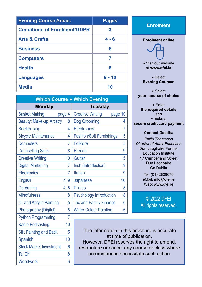| <b>Evening Course Areas:</b>        | <b>Pages</b> |
|-------------------------------------|--------------|
| <b>Conditions of Enrolment/GDPR</b> | 3            |
| <b>Arts &amp; Crafts</b>            | 4 - 6        |
| <b>Business</b>                     | 6            |
| <b>Computers</b>                    | 7            |
| <b>Health</b>                       | 8            |
| <b>Languages</b>                    | $9 - 10$     |
| <b>Media</b>                        | 10           |

| <b>Which Course . Which Evening</b> |        |                                    |    |  |
|-------------------------------------|--------|------------------------------------|----|--|
| <b>Monday</b>                       |        | Tuesday                            |    |  |
| <b>Basket Making</b>                | page 4 | <b>Creative Writing</b><br>page 10 |    |  |
| <b>Beauty: Make-up Artistry</b>     | 8      | Dog Grooming                       | 4  |  |
| <b>Beekeeping</b>                   | 4      | Electronics                        | 7  |  |
| <b>Bicycle Maintenance</b>          | 4      | <b>Fashion/Soft Furnishings</b>    | 5  |  |
| <b>Computers</b>                    | 7      | <b>Folklore</b>                    | 5  |  |
| <b>Counselling Skills</b>           | 8      | French                             | 9  |  |
| <b>Creative Writing</b>             | 10     | Guitar                             | 5  |  |
| <b>Digital Marketing</b>            | 7      | Irish (Introduction)               | 9  |  |
| <b>Electronics</b>                  | 7      | <b>Italian</b>                     | 9  |  |
| English                             | 4, 9   | Japanese                           | 10 |  |
| Gardening                           | 4, 5   | <b>Pilates</b>                     | 8  |  |
| <b>Mindfulness</b>                  | 8      | <b>Psychology Introduction</b>     | 8  |  |
| Oil and Acrylic Painting            | 5      | <b>Tax and Family Finance</b>      | 6  |  |
| Photography (Digital)               | 5      | <b>Water Colour Painting</b>       | 6  |  |
| <b>Python Programming</b>           | 7      |                                    |    |  |
| Radio Podcasting                    | 10     |                                    |    |  |

Silk Painting and Batik 5 Spanish 10 Stock Market Investment 6 Tai Chi 8 Woodwork 6



17 Cumberland Street Dún Laoghaire Co Dublin

Tel: (01) 2809676 eMail: info@dfei.ie Web: www.dfei.ie

© 2022 DFEI All rights reserved.

.The information in this brochure is accurate at time of publication. However, DFEi reserves the right to amend, restructure or cancel any course or class where circumstances necessitate such action.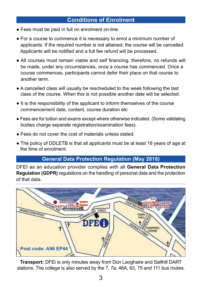# **Conditions of Enrolment**

- Fees must be paid in full on enrolment on-line.
- For a course to commence it is necessary to enrol a minimum number of applicants. If the required number is not attained, the course will be cancelled. Applicants will be notified and a full fee refund will be processed.
- All courses must remain viable and self financing, therefore, no refunds will be made, under any circumstances, once a course has commenced. Once a course commences, participants cannot defer their place on that course to another term.
- A cancelled class will usually be rescheduled to the week following the last class of the course. When this is not possible another date will be selected.
- It is the responsibility of the applicant to inform themselves of the course commencement date, content, course duration etc.
- Fees are for tuition and exams except where otherwise indicated. (Some validating bodies charge separate registration/examination fees).
- Fees do not cover the cost of materials unless stated.
- The policy of DDLETB is that all applicants must be at least 18 years of age at the time of enrolment.

# **General Data Protection Regulation (May 2018)**

DFEI as an education provider complies with all **General Data Protection Regulation (GDPR)** regulations on the handling of personal data and the protection of that data.



**Transport:** DFEi is only minutes away from Dún Laoghaire and Salthill DART stations. The college is also served by the 7, 7a, 46A, 63, 75 and 111 bus routes.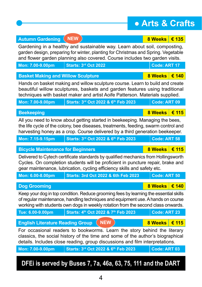# **Autumn Gardening 8 Weeks € 135 NEW Mon: 7.00-9.00pm Starts: 3<sup>rd</sup> Oct 2022 Code: ART 17**

**● Arts & Crafts**

**Basket Making and Willow Sculpture 8 Weeks € 140** 

Hands on basket making and willow sculpture course. Learn to build and create beautiful willow sculptures, baskets and garden features using traditional techniques with basket maker and artist Aoife Patterson. Materials supplied.

**Beekeeping 8 Weeks € 115** All you need to know about getting started in beekeeping. Managing the bees,

**Mon: 7.00-9.00pm Starts: 3<sup>rd</sup> Oct 2022 & 6<sup>th</sup> Feb 2023 Code: ART 09** 

the life cycle of the colony, bee diseases, treatments, feeding, swarm control and harvesting honey as a crop. Course delivered by a third generation beekeeper.

|  | $\frac{1}{2}$ $\frac{1}{2}$ $\frac{1}{2}$ $\frac{1}{2}$ $\frac{1}{2}$ $\frac{1}{2}$ $\frac{1}{2}$ $\frac{1}{2}$ $\frac{1}{2}$ $\frac{1}{2}$ $\frac{1}{2}$ $\frac{1}{2}$ $\frac{1}{2}$ $\frac{1}{2}$ $\frac{1}{2}$ $\frac{1}{2}$ $\frac{1}{2}$ $\frac{1}{2}$ $\frac{1}{2}$ $\frac{1}{2}$ $\frac{1}{2}$ $\frac{1}{2}$ |  | <b>TUUGANTU</b> |  |
|--|---------------------------------------------------------------------------------------------------------------------------------------------------------------------------------------------------------------------------------------------------------------------------------------------------------------------|--|-----------------|--|
|  |                                                                                                                                                                                                                                                                                                                     |  |                 |  |
|  |                                                                                                                                                                                                                                                                                                                     |  |                 |  |

Delivered to Cytech certificate standards by qualified mechanics from Hollingsworth Cycles. On completion students will be proficient in puncture repair, brake and gear maintenance, lubrication, cycling efficiency skills and safety etc.

|                  | Keep your dog in top condition. Reduce grooming fees by learning the essential skills<br>of regular maintenance, handling techniques and equipment use. A hands on course<br>working with students own dogs in weekly rotation from the second class onwards. |                     |  |
|------------------|---------------------------------------------------------------------------------------------------------------------------------------------------------------------------------------------------------------------------------------------------------------|---------------------|--|
| Tue: 6.00-9.00pm | Starts: 4th Oct 2022 & 7th Feb 2023                                                                                                                                                                                                                           | <b>Code: ART 23</b> |  |
|                  |                                                                                                                                                                                                                                                               |                     |  |
|                  | <b>English Literature Reading Group (NEW)</b>                                                                                                                                                                                                                 | 8 Weeks € 115       |  |
|                  | For occasional readers to bookworms. Learn the story behind the literary<br>classics, the social history of the time and some of the author's biographical                                                                                                    |                     |  |

classics, the social history of the time and some of the author's biographical details. Includes close reading, group discussions and film interpretations.

**Mon: 7.00-9.00pm Starts: 3<sup>rd</sup> Oct 2022 & 6<sup>th</sup> Feb 2023 Code: ART 03** 

# **DFEi is served by Buses 7, 7a, 46a, 63, 75, 111 and the DART**

Gardening in a healthy and sustainable way. Learn about soil, composting, garden design, preparing for winter, planting for Christmas and Spring. Vegetable and flower garden planning also covered. Course includes two garden visits.

**Mon: 7.15-9.15pm Starts: 3rd Oct 2022 & 6th Feb 2023 Code: ART 58 Bicycle Maintenance for Beginners 8 Weeks € 115 Mon: 6.00-8.00pm Starts: 3rd Oct 2022 & 6th Feb 2023 Code: ART 50 Dog Grooming 8 Weeks € 140**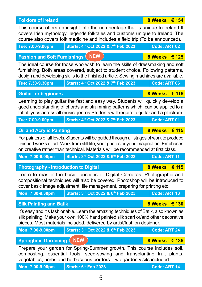| <b>Folklore of Ireland</b>                   |                                                                                                                                                                                                                                                                         | <b>8 Weeks</b>      | € 154 |
|----------------------------------------------|-------------------------------------------------------------------------------------------------------------------------------------------------------------------------------------------------------------------------------------------------------------------------|---------------------|-------|
|                                              | This course offers an insight into the rich heritage that is unique to Ireland It<br>covers Irish mythology legends folktales and customs unique to Ireland. The<br>course also covers folk medicine and includes a field trip (To be announced).                       |                     |       |
| Tue: 7.00-9.00pm                             | Starts: 4th Oct 2022 & 7th Feb 2023                                                                                                                                                                                                                                     | Code: ART 02        |       |
| <b>Fashion and Soft Furnishings</b>          | <b>NEW</b>                                                                                                                                                                                                                                                              | <b>8 Weeks</b>      | € 125 |
|                                              | The ideal course for those who wish to learn the skills of dressmaking and soft<br>furnishing. Both areas covered, subject to student choice. Following patterns,<br>design and developing skills to the finished article. Sewing machines are available.               |                     |       |
| Tue: 7.30-9.30pm                             | Starts: 4th Oct 2022 & 7th Feb 2023                                                                                                                                                                                                                                     | Code: ART 06        |       |
| <b>Guitar for beginners</b>                  |                                                                                                                                                                                                                                                                         | <b>8 Weeks</b>      | € 115 |
|                                              | Learning to play guitar the fast and easy way. Students will quickly develop a<br>good understanding of chords and strumming patterns which, can be applied to a<br>lot of lyrics across all music genres. Students will require a guitar and a plectrum.               |                     |       |
| Tue: 7.00-9.00pm                             | Starts: 4th Oct 2022 & 7th Feb 2023                                                                                                                                                                                                                                     | Code: ART 01        |       |
| <b>Oil and Acrylic Painting</b>              |                                                                                                                                                                                                                                                                         | <b>8 Weeks</b>      | € 115 |
|                                              | For painters of all levels. Students will be guided through all stages of work to produce<br>finished works of art. Work from still life, your photos or your imagination. Emphases<br>on creative rather than technical. Materials will be recommended at first class. |                     |       |
| Mon: 7.00-9.00pm                             | Starts: 3rd Oct 2022 & 6th Feb 2023                                                                                                                                                                                                                                     | <b>Code: ART 11</b> |       |
| <b>Photography - Introduction to Digital</b> |                                                                                                                                                                                                                                                                         | <b>8 Weeks</b>      | € 115 |
|                                              | Learn to master the basic functions of Digital Cameras. Photographic and<br>compositional techniques will also be covered. Photoshop will be introduced to<br>cover basic image adjustment, file management, preparing for printing etc.                                |                     |       |
| Mon: 7.30-9.30pm                             | Starts: 3rd Oct 2022 & 6th Feb 2023                                                                                                                                                                                                                                     | <b>Code: ART 13</b> |       |
| <b>Silk Painting and Batik</b>               |                                                                                                                                                                                                                                                                         | <b>8 Weeks</b>      | € 130 |
|                                              | It's easy and it's fashionable. Learn the amazing techniques of Batik, also known as<br>silk painting. Make your own 100% hand painted silk scarf or/and other decorative<br>pieces. Most materials included, delivered by artist/fashion designer.                     |                     |       |
| Mon: 7.00-9.00pm                             | Starts: 3rd Oct 2022 & 6th Feb 2023                                                                                                                                                                                                                                     | <b>Code: ART 24</b> |       |
| <b>Springtime Gardening (NEW)</b>            |                                                                                                                                                                                                                                                                         | 8 Weeks   € 135     |       |
|                                              | Prepare your garden for Spring-Summer growth. This course includes soil,<br>composting, essential tools, seed-sowing and transplanting fruit plants,<br>vegetables, herbs and herbaceous borders. Two garden visits included.                                           |                     |       |
| Mon: 7.00-9.00pm                             | <b>Starts: 6th Feb 2023</b>                                                                                                                                                                                                                                             | <b>Code: ART 14</b> |       |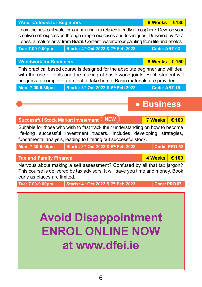# **Mon: 7.00-9.30pm Starts: 3rd Oct 2022 & 6th Feb 2023** Code: ART 19

**Successful Stock Market Investment 7 Weeks € 100 NEW**

Suitable for those who wish to fast track their understanding on how to become life-long successful investment traders. Includes developing strategies, fundamental analysis, leading to filtering out successful stock.

**Mon: 7.30-9.30pm Starts: 3<sup>rd</sup> Oct 2022 & 6<sup>th</sup> Feb 2023 Code: PRO 52** 

# **Tax and Family Finance 4 Weeks € 100**

Nervous about making a self assessment? Confused by all that tax jargon? This course is delivered by tax advisors. It will save you time and money. Book early as places are limited.

**Tue: 7.00-9.00pm Starts: 4th Oct 2022 & 7th Feb 2023 Code: PRO 07**

**Avoid Disappointment at www.dfei.ie**

# **Woodwork for Beginners 9 Weeks € 150**

This practical based course is designed for the absolute beginner and will deal with the use of tools and the making of basic wood joints. Each student will progress to complete a project to take home. Basic materials are provided.

creative self-expression through simple exercises and techniques. Delivered by Yara Lopes, a mature artist from Brazil. Content: watercolour painting from life and photos. **Tue: 7.00-9.00pm Starts: 4th Oct 2022 & 7th Feb 2023 Code: ART 03**

Learn the basics of water colour painting in a relaxed friendly atmosphere. Develop your

# **ENROL ONLINE NOW**

**Water Colours for Beginners 8 Weeks €130** 

**● Business**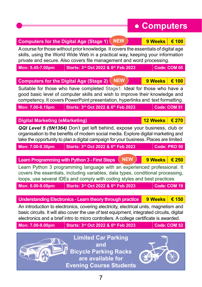# **Digital Marketing (eMarketing) 12 Weeks € 270** *QQI Level 5 (5N1364)* Don't get left behind, expose your business, club or organisation to the benefits of modern social media. Explore digital marketing and take the opportunity to plan a digital campaign for your business. Places are limited. **Mon: 7.00-9.30pm Starts: 3rd Oct 2022 & 6th Feb 2023 Code: PRO 50**  $\textsf{Computers}$  for the Digital Age (Stage 2)  $\textsf{NEW}$   $\textcolor{red}{\mathcal{P}}$   $\textcolor{red}{\mathcal{P}}$   $\textcolor{red}{\mathcal{P}}$   $\textcolor{red}{\mathcal{P}}$   $\textcolor{red}{\mathcal{P}}$   $\textcolor{red}{\mathcal{P}}$   $\textcolor{red}{\mathcal{P}}$   $\textcolor{red}{\mathcal{P}}$   $\textcolor{red}{\mathcal{P}}$   $\textcolor{red}{\mathcal{P}}$   $\textcolor{red}{\mathcal{P}}$   $\textcolor{red$ Suitable for those who have completed Stage1. Ideal for those who have a good basic level of computer skills and wish to improve their knowledge and competency. It covers PowerPoint presentation, hyperlinks and text formatting. **Mon: 7.00-8.15pm Starts: 3<sup>rd</sup> Oct 2022 & 6<sup>th</sup> Feb 2023 Code: COM 51 ● Computers Computers for the Digital Age (Stage 1) 9 Weeks € 100 NEW** A course for those without prior knowledge. It covers the essentials of digital age skills, using the World Wide Web in a practical way, keeping your information private and secure. Also covers file management and word processing. **Mon: 5.45-7.00pm Starts: 3<sup>rd</sup> Oct 2022 & 6<sup>th</sup> Feb 2023 Code: COM 05** Learn Programming with Python 3 - First Steps ( NEW *)* 9 Weeks <mark>< 250</mark> Learn Python 3 programming language with an experienced professional. It covers the essentials, including variables, data types, conditional processing, loops, use several IDEs and comply with coding styles and best practices **Mon: 6.00-9.00pm** <br>**Starts: 3<sup>rd</sup> Oct 2022 & 6<sup>th</sup> Feb 2023 Code: COM 19 Understanding Electronics - Learn theory through practice 9 Weeks € 150** An introduction to electronics, covering electricity, electrical units, magnetism and basic circuits. It will also cover the use of test equipment, integrated circuits, digital electronics and a brief intro to micro controllers. A college certificate is awarded. **Mon: 7.00-9.00pm Starts: 3rd Oct 2022 & 6th Feb 2023 Code: COM 52 Limited Car Parking**

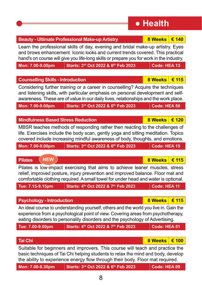**● Health**

**Beauty - Ultimate Professional Make-up Artistry 8 Weeks € 140** Learn the professional skills of day, evening and bridal make-up artistry. Eyes and brows enhancement. Iconic looks and current trends covered. This practical hand's on course will give you life-long skills or prepare you for work in the industry.

**Mon: 7.00-9.00pm Starts: 3rd Oct 2022 & 6th Feb 2023 Code: HEA 13**

### **Counselling Skills - Introduction 8 Weeks € 115**

Considering further training or a career in counselling? Acquire the techniques and listening skills, with particular emphasis on personal development and selfawareness. These are of value in our daily lives, relationships and the work place.

**Mon: 7.00-9.00pm Starts: 3rd Oct 2022 & 6th Feb 2023 Code: HEA 50**

## **Mindfulness Based Stress Reduction 8 Weeks € 120**

MBSR teaches methods of responding rather then reacting to the challenges of life. Exercises include the body scan, gently yoga and sitting meditation. Topics covered include increasing mindful awareness of body, thoughts, and emotions.

| Mon: 7.00-9.00pm | Starts: 3rd Oct 2022 & 6th Feb 2023 | Code: HEA 15 |
|------------------|-------------------------------------|--------------|
|                  |                                     |              |

### **Pilates 8 Weeks € 115 NEW**

Pilates is low-impact exercising that aims to achieve leaner muscles, stress relief, improved posture, injury prevention and improved balance. Floor mat and comfortable clothing required. A small towel for under head and water is optional.

**Tue: 7.15-9.15pm Starts: 4th Oct 2022 & 7th Feb 2023 Code: HEA 11**

## **Psychology - Introduction 8 Weeks € 115**

An ideal course to understanding yourself, others and the world you live in. Gain the experience from a psychological point of view. Covering areas from psychotherapy, eating disorders to personality disorders and the psychology of Advertising.

| Tue: 7.00-9.00pm | Starts: 4 <sup>th</sup> Oct 2022 & 7 <sup>th</sup> Feb 2023 | $\vert\vert$ Code: HEA 51 |
|------------------|-------------------------------------------------------------|---------------------------|
|                  |                                                             |                           |

| Tai Chi          |                                                                                                                                                                                                                                                    | 8 Weeks   € 100 |  |
|------------------|----------------------------------------------------------------------------------------------------------------------------------------------------------------------------------------------------------------------------------------------------|-----------------|--|
|                  | Suitable for beginners and improvers. This course will teach and practice the<br>basic techniques of Tai Chi helping students to relax the mind and body, develop<br>the ability to experience energy flow through their body. Floor mat required. |                 |  |
| Mon: 7.00-8.30pm | Starts: 3rd Oct 2022 & 6th Feb 2023                                                                                                                                                                                                                | Code: HEA 09    |  |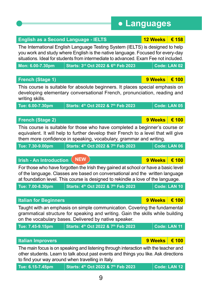# **● Languages**

# **French (Stage 1) 9 Weeks € 100** This course is suitable for absolute beginners. It places special emphasis on developing elementary conversational French, pronunciation, reading and writing skills. **Tue: 6.00-7.30pm Starts: 4th Oct 2022 & 7th Feb 2023 Code: LAN 05 French (Stage 2) 9 Weeks € 100** This course is suitable for those who have completed a beginner's course or equivalent. It will help to further develop their French to a level that will give them more confidence in speaking, vocabulary, grammar and writing. **Tue: 7.30-9.00pm Starts: 4th Oct 2022 & 7th Feb 2023 Code: LAN 06**

### **Irish - An Introduction 9 Weeks € 100 NEW**

For those who have forgotten the Irish they gained at school or have a basic level of the language. Classes are based on conversational and the written language at foundation level. This course is designed to rekindle a love of the language.

**Tue: 7.00-8.30pm Starts: 4th Oct 2022 & 7th Feb 2023 Code: LAN 10**

## **Italian for Beginners 9 Weeks € 100**

Taught with an emphasis on simple communication. Covering the fundamental grammatical structure for speaking and writing. Gain the skills while building on the vocabulary bases. Delivered by native speaker.

| Tue: 7.45-9.15pm | Starts: 4th Oct 2022 & 7th Feb 2023 | $\vert$ Code: LAN 11 |
|------------------|-------------------------------------|----------------------|
|                  |                                     |                      |

| The main focus is on speaking and listening through interaction with the teacher and |
|--------------------------------------------------------------------------------------|
| other students. Learn to talk about past events and things you like. Ask directions  |
| to find your way around when travelling in Italy.                                    |

**Italian Improvers 9 Weeks € 100**

| Tue: 6.15-7.45pm | Starts: 4th Oct 2022 & 7th Feb 2023 \ | Code: LAN 12 |
|------------------|---------------------------------------|--------------|
|------------------|---------------------------------------|--------------|

# **English as a Second Language - IELTS 12 Weeks € 158**

The International English Language Testing System (IELTS) is designed to help you work and study where English is the native language. Focused for every-day situations. Ideal for students from intermediate to advanced. Exam Fee not included.

| Mon: 6.00-7.30pm | Starts: 3rd Oct 2022 & 6th Feb 2023 | $\vert$ Code: LAN 02 |
|------------------|-------------------------------------|----------------------|
|                  |                                     |                      |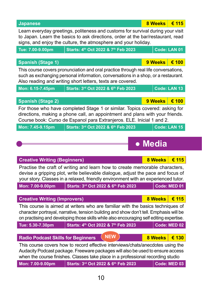| signs, and enjoy the culture, the atmosphere and your holiday.                                                                                                                                                                          |                                                                                                                                                                                                                                                                      |                |              |
|-----------------------------------------------------------------------------------------------------------------------------------------------------------------------------------------------------------------------------------------|----------------------------------------------------------------------------------------------------------------------------------------------------------------------------------------------------------------------------------------------------------------------|----------------|--------------|
| Tue: 7.00-9.00pm                                                                                                                                                                                                                        | Starts: 4th Oct 2022 & 7th Feb 2023                                                                                                                                                                                                                                  |                | Code: LAN 01 |
|                                                                                                                                                                                                                                         |                                                                                                                                                                                                                                                                      |                |              |
| <b>Spanish (Stage 1)</b>                                                                                                                                                                                                                |                                                                                                                                                                                                                                                                      | 9 Weeks        | € 100        |
| This course covers pronunciation and oral practice through real life conversations,<br>such as exchanging personal information, conversations in a shop, or a restaurant.<br>Also reading and writing short letters, texts are covered. |                                                                                                                                                                                                                                                                      |                |              |
| Mon: 6.15-7.45pm                                                                                                                                                                                                                        | Starts: 3rd Oct 2022 & 6th Feb 2023                                                                                                                                                                                                                                  |                | Code: LAN 13 |
|                                                                                                                                                                                                                                         |                                                                                                                                                                                                                                                                      |                |              |
| <b>Spanish (Stage 2)</b>                                                                                                                                                                                                                |                                                                                                                                                                                                                                                                      | <b>9 Weeks</b> | € 100        |
| For those who have completed Stage 1 or similar. Topics covered: asking for<br>directions, making a phone call, an appointment and plans with your friends.<br>Course book: Curso de Espanol para Extranjeros. ELE. Inicial 1 and 2.    |                                                                                                                                                                                                                                                                      |                |              |
| Mon: 7.45-9.15pm                                                                                                                                                                                                                        | Starts: 3rd Oct 2022 & 6th Feb 2023                                                                                                                                                                                                                                  |                | Code: LAN 15 |
|                                                                                                                                                                                                                                         |                                                                                                                                                                                                                                                                      |                |              |
|                                                                                                                                                                                                                                         |                                                                                                                                                                                                                                                                      | • Media        |              |
|                                                                                                                                                                                                                                         |                                                                                                                                                                                                                                                                      |                |              |
| <b>Creative Writing (Beginners)</b>                                                                                                                                                                                                     |                                                                                                                                                                                                                                                                      | <b>8 Weeks</b> | € 115        |
|                                                                                                                                                                                                                                         |                                                                                                                                                                                                                                                                      |                |              |
|                                                                                                                                                                                                                                         | Practise the craft of writing and learn how to create memorable characters,<br>devise a gripping plot, write believable dialogue, adjust the pace and focus of<br>your story. Classes in a relaxed, friendly environment with an experienced tutor.                  |                |              |
| Mon: 7.00-9.00pm                                                                                                                                                                                                                        | Starts: 3rd Oct 2022 & 6th Feb 2023                                                                                                                                                                                                                                  |                | Code: MED 01 |
|                                                                                                                                                                                                                                         |                                                                                                                                                                                                                                                                      |                |              |
| <b>Creative Writing (Improvers)</b>                                                                                                                                                                                                     |                                                                                                                                                                                                                                                                      | <b>8 Weeks</b> | € 115        |
|                                                                                                                                                                                                                                         | This course is aimed at writers who are familiar with the basics techniques of<br>character portrayal, narrative, tension building and show don't tell. Emphasis will be<br>on practising and developing those skills while also encouraging self editing expertise. |                |              |
| Tue: 5.30-7.30pm                                                                                                                                                                                                                        | Starts: 4th Oct 2022 & 7th Feb 2023                                                                                                                                                                                                                                  |                | Code: MED 02 |
|                                                                                                                                                                                                                                         |                                                                                                                                                                                                                                                                      |                |              |
| <b>Radio Podcast Skills for Beginners</b>                                                                                                                                                                                               | <b>NEW</b>                                                                                                                                                                                                                                                           | <b>8 Weeks</b> | € 130        |
|                                                                                                                                                                                                                                         | This course covers how to record effective interviews/chats/anecdotes using the<br>Audacity Podcast package. Freeware packages will also be used to ensure access<br>when the course finishes. Classes take place in a professional recording studio                 |                |              |
| Mon: 7.00-9.00pm                                                                                                                                                                                                                        | Starts: 3rd Oct 2022 & 6th Feb 2023                                                                                                                                                                                                                                  |                | Code: MED 03 |

**Japanese 8 Weeks € 115**

Learn everyday greetings, politeness and customs for survival during your visit to Japan. Learn the basics to ask directions, order at the bar/restaurant, read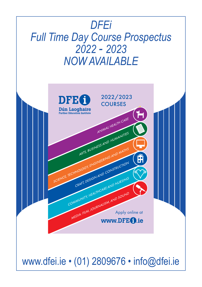# *DFEi Full Time Day Course Prospectus 2022 - 2023 NOW AVAILABLE*